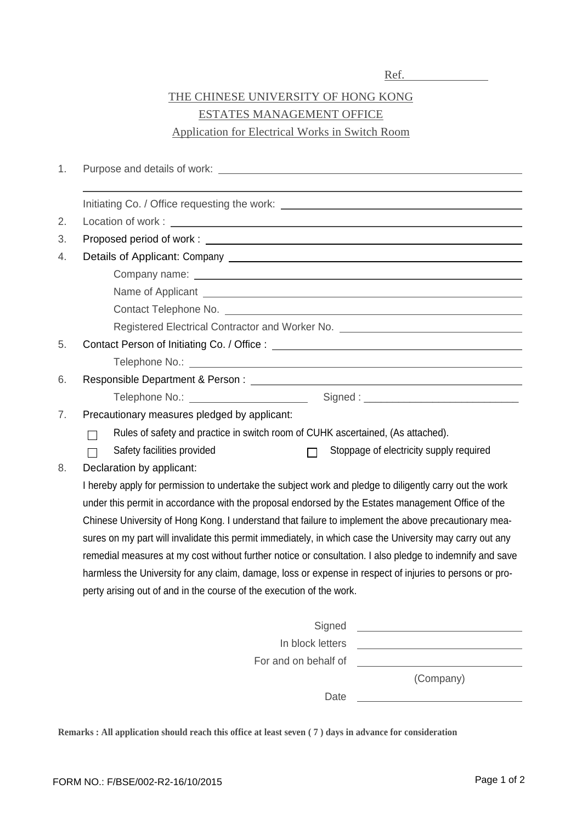## THE CHINESE UNIVERSITY OF HONG KONG ESTATES MANAGEMENT OFFICE Application for Electrical Works in Switch Room

| 1. |                                                                                                               |  |  |  |  |  |  |  |  |
|----|---------------------------------------------------------------------------------------------------------------|--|--|--|--|--|--|--|--|
|    |                                                                                                               |  |  |  |  |  |  |  |  |
| 2. |                                                                                                               |  |  |  |  |  |  |  |  |
| 3. |                                                                                                               |  |  |  |  |  |  |  |  |
| 4. |                                                                                                               |  |  |  |  |  |  |  |  |
|    |                                                                                                               |  |  |  |  |  |  |  |  |
|    |                                                                                                               |  |  |  |  |  |  |  |  |
|    |                                                                                                               |  |  |  |  |  |  |  |  |
|    | Registered Electrical Contractor and Worker No. [1989] Management Contractor Management Contractor Management |  |  |  |  |  |  |  |  |
| 5. |                                                                                                               |  |  |  |  |  |  |  |  |
|    |                                                                                                               |  |  |  |  |  |  |  |  |
| 6. |                                                                                                               |  |  |  |  |  |  |  |  |
|    | Telephone No.: _________________________                                                                      |  |  |  |  |  |  |  |  |
| 7. | Precautionary measures pledged by applicant:                                                                  |  |  |  |  |  |  |  |  |
|    | Rules of safety and practice in switch room of CUHK ascertained, (As attached).                               |  |  |  |  |  |  |  |  |
|    | Safety facilities provided<br>Stoppage of electricity supply required                                         |  |  |  |  |  |  |  |  |
| 8. | Declaration by applicant:                                                                                     |  |  |  |  |  |  |  |  |
|    | I hereby apply for permission to undertake the subject work and pledge to diligently carry out the work       |  |  |  |  |  |  |  |  |
|    | under this permit in accordance with the proposal endorsed by the Estates management Office of the            |  |  |  |  |  |  |  |  |
|    | Chinese University of Hong Kong. I understand that failure to implement the above precautionary mea-          |  |  |  |  |  |  |  |  |
|    | sures on my part will invalidate this permit immediately, in which case the University may carry out any      |  |  |  |  |  |  |  |  |
|    | remedial measures at my cost without further notice or consultation. I also pledge to indemnify and save      |  |  |  |  |  |  |  |  |
|    | harmless the University for any claim, damage, loss or expense in respect of injuries to persons or pro-      |  |  |  |  |  |  |  |  |
|    | perty arising out of and in the course of the execution of the work.                                          |  |  |  |  |  |  |  |  |
|    |                                                                                                               |  |  |  |  |  |  |  |  |
|    | Signed<br><u> 1989 - Jan James James Barbara, president politik (</u>                                         |  |  |  |  |  |  |  |  |
|    | In block letters                                                                                              |  |  |  |  |  |  |  |  |
|    | For and on behalf of                                                                                          |  |  |  |  |  |  |  |  |
|    | (Company)                                                                                                     |  |  |  |  |  |  |  |  |

**Remarks : All application should reach this office at least seven ( 7 ) days in advance for consideration**

Date